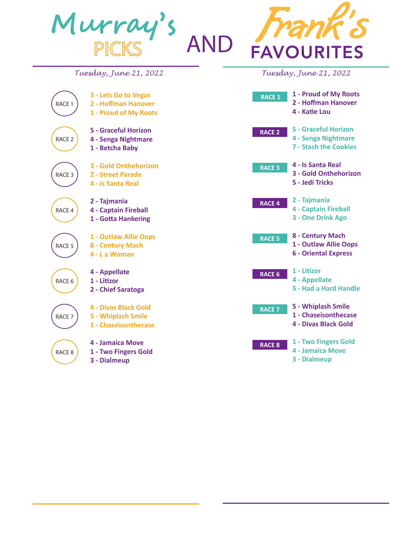

**4 - Two to Ten**

**8 - Appellate**